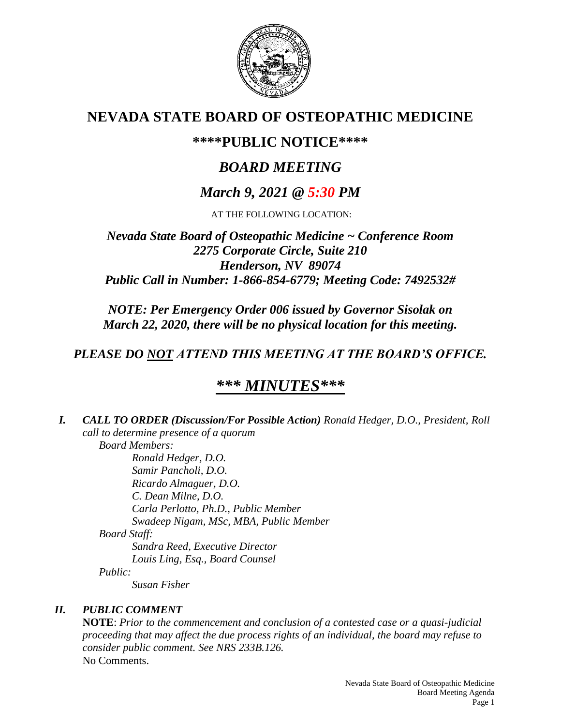

## **NEVADA STATE BOARD OF OSTEOPATHIC MEDICINE**

## **\*\*\*\*PUBLIC NOTICE\*\*\*\***

# *BOARD MEETING*

## *March 9, 2021 @ 5:30 PM*

AT THE FOLLOWING LOCATION:

### *Nevada State Board of Osteopathic Medicine ~ Conference Room 2275 Corporate Circle, Suite 210 Henderson, NV 89074 Public Call in Number: 1-866-854-6779; Meeting Code: 7492532#*

*NOTE: Per Emergency Order 006 issued by Governor Sisolak on March 22, 2020, there will be no physical location for this meeting.*

## *PLEASE DO NOT ATTEND THIS MEETING AT THE BOARD'S OFFICE.*

# *\*\*\* MINUTES\*\*\**

*I. CALL TO ORDER (Discussion/For Possible Action) Ronald Hedger, D.O., President, Roll call to determine presence of a quorum Board Members: Ronald Hedger, D.O.*

*Samir Pancholi, D.O. Ricardo Almaguer, D.O. C. Dean Milne, D.O. Carla Perlotto, Ph.D., Public Member Swadeep Nigam, MSc, MBA, Public Member Board Staff: Sandra Reed, Executive Director Louis Ling, Esq., Board Counsel Public: Susan Fisher*

### *II. PUBLIC COMMENT*

**NOTE**: *Prior to the commencement and conclusion of a contested case or a quasi-judicial proceeding that may affect the due process rights of an individual, the board may refuse to consider public comment. See NRS 233B.126.* No Comments.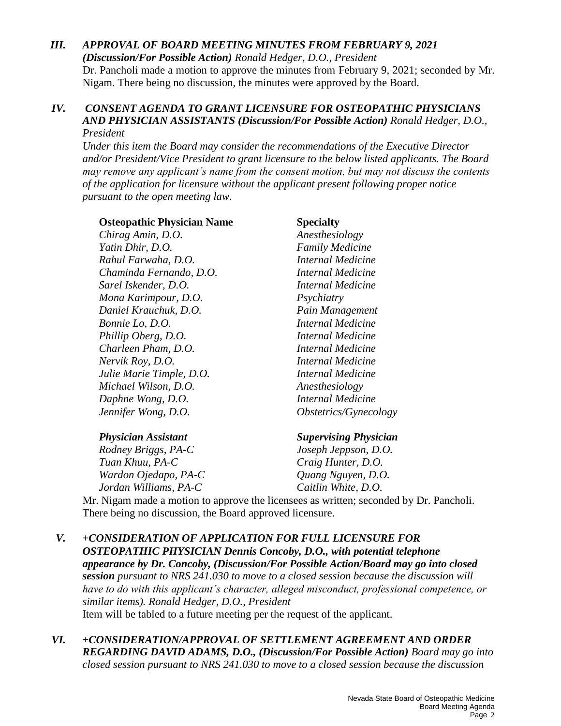### *III. APPROVAL OF BOARD MEETING MINUTES FROM FEBRUARY 9, 2021*

*(Discussion/For Possible Action) Ronald Hedger, D.O., President* Dr. Pancholi made a motion to approve the minutes from February 9, 2021; seconded by Mr. Nigam. There being no discussion, the minutes were approved by the Board.

#### *IV. CONSENT AGENDA TO GRANT LICENSURE FOR OSTEOPATHIC PHYSICIANS AND PHYSICIAN ASSISTANTS (Discussion/For Possible Action) Ronald Hedger, D.O., President*

*Under this item the Board may consider the recommendations of the Executive Director and/or President/Vice President to grant licensure to the below listed applicants. The Board may remove any applicant's name from the consent motion, but may not discuss the contents of the application for licensure without the applicant present following proper notice pursuant to the open meeting law.*

#### **Osteopathic Physician Name Specialty**

*Chirag Amin, D.O. Anesthesiology Yatin Dhir, D.O. Family Medicine Rahul Farwaha, D.O. Internal Medicine Chaminda Fernando, D.O. Internal Medicine Sarel Iskender, D.O. Internal Medicine Mona Karimpour, D.O. Psychiatry Daniel Krauchuk, D.O. Pain Management Bonnie Lo, D.O. Internal Medicine Phillip Oberg, D.O. Internal Medicine Charleen Pham, D.O. Internal Medicine Nervik Roy, D.O. Internal Medicine Julie Marie Timple, D.O. Internal Medicine Michael Wilson, D.O. Anesthesiology Daphne Wong, D.O. Internal Medicine Jennifer Wong, D.O. Obstetrics/Gynecology*

#### *Physician Assistant Supervising Physician*

*Rodney Briggs, PA-C Joseph Jeppson, D.O. Tuan Khuu, PA-C Craig Hunter, D.O. Wardon Ojedapo, PA-C Quang Nguyen, D.O. Jordan Williams, PA-C Caitlin White, D.O.*

Mr. Nigam made a motion to approve the licensees as written; seconded by Dr. Pancholi. There being no discussion, the Board approved licensure.

*V. +CONSIDERATION OF APPLICATION FOR FULL LICENSURE FOR OSTEOPATHIC PHYSICIAN Dennis Concoby, D.O., with potential telephone appearance by Dr. Concoby, (Discussion/For Possible Action/Board may go into closed session pursuant to NRS 241.030 to move to a closed session because the discussion will have to do with this applicant's character, alleged misconduct, professional competence, or similar items). Ronald Hedger, D.O., President* Item will be tabled to a future meeting per the request of the applicant.

#### *VI. +CONSIDERATION/APPROVAL OF SETTLEMENT AGREEMENT AND ORDER REGARDING DAVID ADAMS, D.O., (Discussion/For Possible Action) Board may go into closed session pursuant to NRS 241.030 to move to a closed session because the discussion*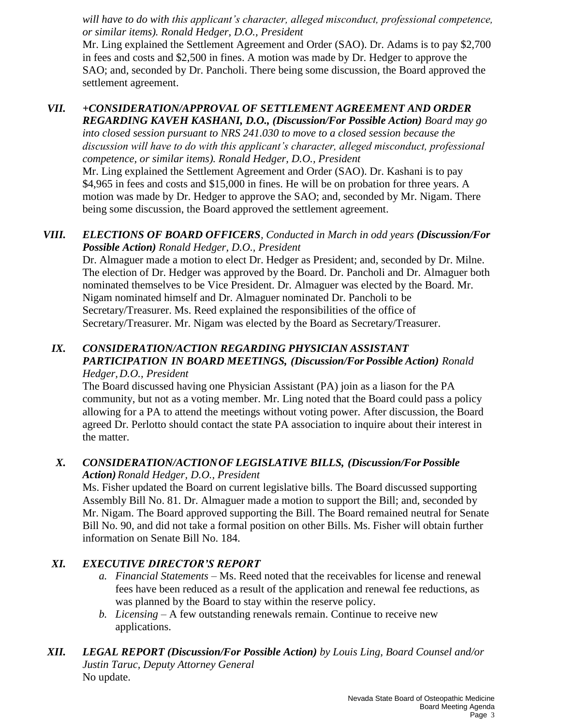*will have to do with this applicant's character, alleged misconduct, professional competence, or similar items). Ronald Hedger, D.O., President*

Mr. Ling explained the Settlement Agreement and Order (SAO). Dr. Adams is to pay \$2,700 in fees and costs and \$2,500 in fines. A motion was made by Dr. Hedger to approve the SAO; and, seconded by Dr. Pancholi. There being some discussion, the Board approved the settlement agreement.

## *VII. +CONSIDERATION/APPROVAL OF SETTLEMENT AGREEMENT AND ORDER REGARDING KAVEH KASHANI, D.O., (Discussion/For Possible Action) Board may go*

*into closed session pursuant to NRS 241.030 to move to a closed session because the discussion will have to do with this applicant's character, alleged misconduct, professional competence, or similar items). Ronald Hedger, D.O., President*

Mr. Ling explained the Settlement Agreement and Order (SAO). Dr. Kashani is to pay \$4,965 in fees and costs and \$15,000 in fines. He will be on probation for three years. A motion was made by Dr. Hedger to approve the SAO; and, seconded by Mr. Nigam. There being some discussion, the Board approved the settlement agreement.

#### *VIII. ELECTIONS OF BOARD OFFICERS, Conducted in March in odd years (Discussion/For Possible Action) Ronald Hedger, D.O., President*

Dr. Almaguer made a motion to elect Dr. Hedger as President; and, seconded by Dr. Milne. The election of Dr. Hedger was approved by the Board. Dr. Pancholi and Dr. Almaguer both nominated themselves to be Vice President. Dr. Almaguer was elected by the Board. Mr. Nigam nominated himself and Dr. Almaguer nominated Dr. Pancholi to be Secretary/Treasurer. Ms. Reed explained the responsibilities of the office of Secretary/Treasurer. Mr. Nigam was elected by the Board as Secretary/Treasurer.

#### *IX. CONSIDERATION/ACTION REGARDING PHYSICIAN ASSISTANT PARTICIPATION IN BOARD MEETINGS, (Discussion/ForPossible Action) Ronald Hedger,D.O., President*

The Board discussed having one Physician Assistant (PA) join as a liason for the PA community, but not as a voting member. Mr. Ling noted that the Board could pass a policy allowing for a PA to attend the meetings without voting power. After discussion, the Board agreed Dr. Perlotto should contact the state PA association to inquire about their interest in the matter.

#### *X. CONSIDERATION/ACTIONOF LEGISLATIVE BILLS, (Discussion/ForPossible Action)Ronald Hedger, D.O., President*

Ms. Fisher updated the Board on current legislative bills. The Board discussed supporting Assembly Bill No. 81. Dr. Almaguer made a motion to support the Bill; and, seconded by Mr. Nigam. The Board approved supporting the Bill. The Board remained neutral for Senate Bill No. 90, and did not take a formal position on other Bills. Ms. Fisher will obtain further information on Senate Bill No. 184.

### *XI. EXECUTIVE DIRECTOR'S REPORT*

- *a. Financial Statements* Ms. Reed noted that the receivables for license and renewal fees have been reduced as a result of the application and renewal fee reductions, as was planned by the Board to stay within the reserve policy.
- *b. Licensing* A few outstanding renewals remain. Continue to receive new applications.

#### *XII. LEGAL REPORT (Discussion/For Possible Action) by Louis Ling, Board Counsel and/or Justin Taruc, Deputy Attorney General* No update.